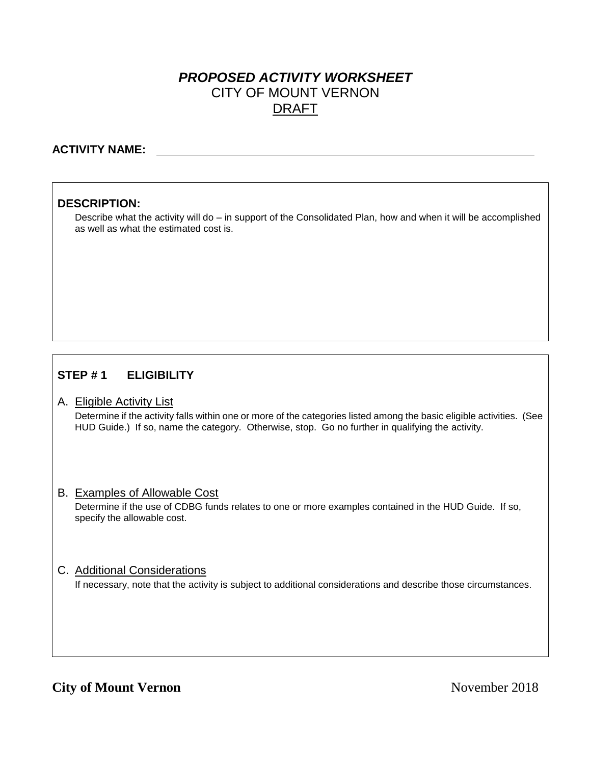# *PROPOSED ACTIVITY WORKSHEET* CITY OF MOUNT VERNON DRAFT

### **ACTIVITY NAME:**

### **DESCRIPTION:**

Describe what the activity will do – in support of the Consolidated Plan, how and when it will be accomplished as well as what the estimated cost is.

## **STEP # 1 ELIGIBILITY**

#### A. Eligible Activity List

Determine if the activity falls within one or more of the categories listed among the basic eligible activities. (See HUD Guide.) If so, name the category. Otherwise, stop. Go no further in qualifying the activity.

#### B. Examples of Allowable Cost

Determine if the use of CDBG funds relates to one or more examples contained in the HUD Guide. If so, specify the allowable cost.

#### C. Additional Considerations

If necessary, note that the activity is subject to additional considerations and describe those circumstances.

## **City of Mount Vernon** November 2018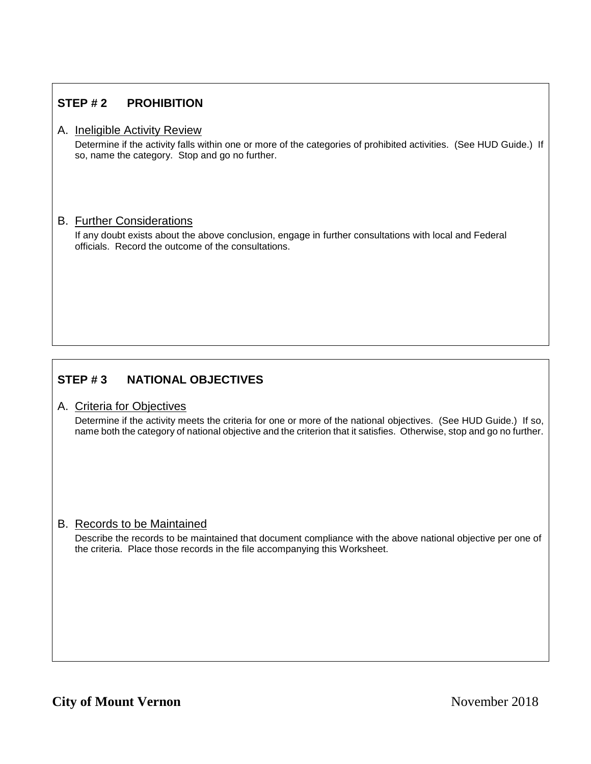# **STEP # 2 PROHIBITION**

### A. Ineligible Activity Review

Determine if the activity falls within one or more of the categories of prohibited activities. (See HUD Guide.) If so, name the category. Stop and go no further.

#### B. Further Considerations

If any doubt exists about the above conclusion, engage in further consultations with local and Federal officials. Record the outcome of the consultations.

# **STEP # 3 NATIONAL OBJECTIVES**

#### A. Criteria for Objectives

Determine if the activity meets the criteria for one or more of the national objectives. (See HUD Guide.) If so, name both the category of national objective and the criterion that it satisfies. Otherwise, stop and go no further.

### B. Records to be Maintained

Describe the records to be maintained that document compliance with the above national objective per one of the criteria. Place those records in the file accompanying this Worksheet.